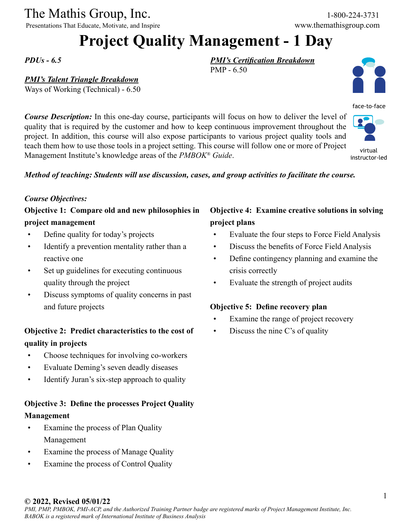The Mathis Group, Inc. 1-800-224-3731

Presentations That Educate, Motivate, and Inspire www.themathisgroup.com

## **Project Quality Management - 1 Day**

PMP - 6.50

*PDUs - 6.5*

#### *PMI's Talent Triangle Breakdown*

Ways of Working (Technical) - 6.50

*Course Description:* In this one-day course, participants will focus on how to deliver the level of quality that is required by the customer and how to keep continuous improvement throughout the project. In addition, this course will also expose participants to various project quality tools and teach them how to use those tools in a project setting. This course will follow one or more of Project Management Institute's knowledge areas of the *PMBOK® Guide*. instructor-led

#### *Method of teaching: Students will use discussion, cases, and group activities to facilitate the course.*

#### *Course Objectives:*

#### **Objective 1: Compare old and new philosophies in project management**

- Define quality for today's projects
- Identify a prevention mentality rather than a reactive one
- Set up guidelines for executing continuous quality through the project
- • Discuss symptoms of quality concerns in past and future projects

#### **Objective 2: Predict characteristics to the cost of quality in projects**

- Choose techniques for involving co-workers
- Evaluate Deming's seven deadly diseases
- Identify Juran's six-step approach to quality

#### **Objective 3: Define the processes Project Quality Management**

- Examine the process of Plan Quality Management
- Examine the process of Manage Quality
- Examine the process of Control Quality

#### **Objective 4: Examine creative solutions in solving project plans**

- Evaluate the four steps to Force Field Analysis
- Discuss the benefits of Force Field Analysis
- Define contingency planning and examine the crisis correctly
- • Evaluate the strength of project audits

#### **Objective 5: Define recovery plan**

*PMI's Certification Breakdown*

- Examine the range of project recovery
- Discuss the nine C's of quality

#### **© 2022, Revised 05/01/22**



virtual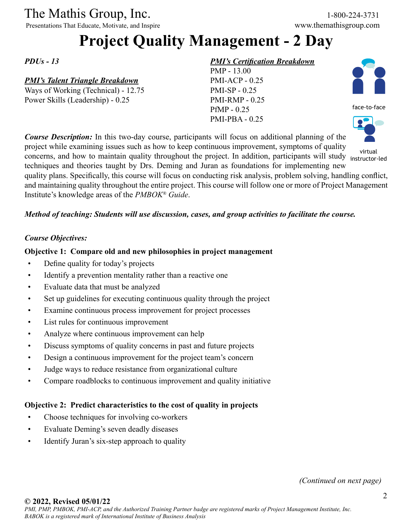# The Mathis Group, Inc. 1-800-224-3731<br>
Presentations That Educate, Motivate, and Inspire www.themathisgroup.com

Presentations That Educate, Motivate, and Inspire

## **Project Quality Management - 2 Day**

*PDUs - 13*

#### *PMI's Talent Triangle Breakdown*

Ways of Working (Technical) - 12.75 Power Skills (Leadership) - 0.25

#### *PMI's Certification Breakdown*

PMP - 13.00 PMI-ACP - 0.25 PMI-SP - 0.25 PMI-RMP - 0.25 PfMP - 0.25 PMI-PBA - 0.25





*Course Description:* In this two-day course, participants will focus on additional planning of the project while examining issues such as how to keep continuous improvement, symptoms of quality virtual<br>concerns, and how to maintain quality throughout the project. In addition, participants will study instructortechniques and theories taught by Drs. Deming and Juran as foundations for implementing new quality plans. Specifically, this course will focus on conducting risk analysis, problem solving, handling conflict, and maintaining quality throughout the entire project. This course will follow one or more of Project Management instructor-led

Institute's knowledge areas of the *PMBOK® Guide*.

#### *Method of teaching: Students will use discussion, cases, and group activities to facilitate the course.*

#### *Course Objectives:*

#### **Objective 1: Compare old and new philosophies in project management**

- Define quality for today's projects
- Identify a prevention mentality rather than a reactive one
- • Evaluate data that must be analyzed
- Set up guidelines for executing continuous quality through the project
- Examine continuous process improvement for project processes
- • List rules for continuous improvement
- Analyze where continuous improvement can help
- Discuss symptoms of quality concerns in past and future projects
- Design a continuous improvement for the project team's concern
- Judge ways to reduce resistance from organizational culture
- Compare roadblocks to continuous improvement and quality initiative

#### **Objective 2: Predict characteristics to the cost of quality in projects**

- Choose techniques for involving co-workers
- • Evaluate Deming's seven deadly diseases
- Identify Juran's six-step approach to quality

*(Continued on next page)*

#### **© 2022, Revised 05/01/22**